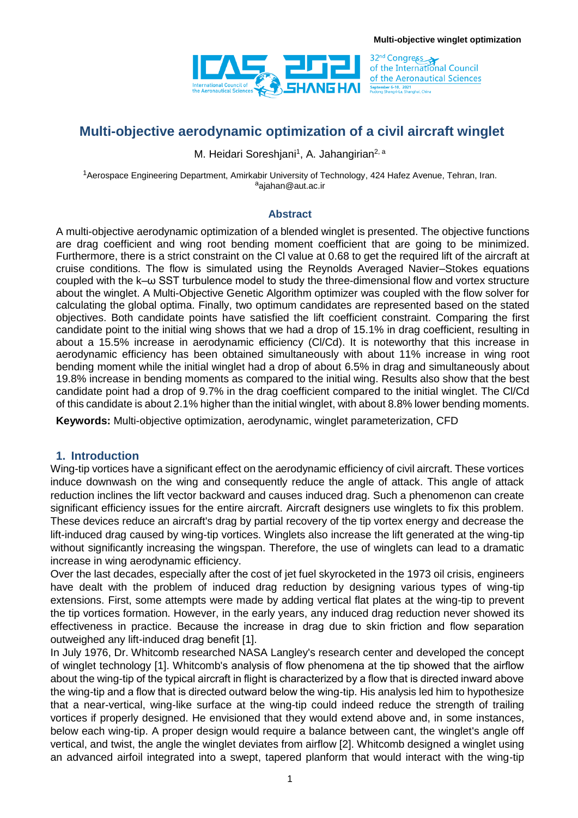

32<sup>nd</sup> Congress<br>of the International Council of the Aeronautical Sciences **September 6-10, 2021**<br>Pudong Shangri-La, Shanghai, China

# **Multi-objective aerodynamic optimization of a civil aircraft winglet**

M. Heidari Soreshjani<sup>1</sup>, A. Jahangirian<sup>2, a</sup>

<sup>1</sup>Aerospace Engineering Department, Amirkabir University of Technology, 424 Hafez Avenue, Tehran, Iran. a<sub>diahan</sub>@aut.ac.ir

#### **Abstract**

A multi-objective aerodynamic optimization of a blended winglet is presented. The objective functions are drag coefficient and wing root bending moment coefficient that are going to be minimized. Furthermore, there is a strict constraint on the Cl value at 0.68 to get the required lift of the aircraft at cruise conditions. The flow is simulated using the Reynolds Averaged Navier–Stokes equations coupled with the k–ω SST turbulence model to study the three-dimensional flow and vortex structure about the winglet. A Multi-Objective Genetic Algorithm optimizer was coupled with the flow solver for calculating the global optima. Finally, two optimum candidates are represented based on the stated objectives. Both candidate points have satisfied the lift coefficient constraint. Comparing the first candidate point to the initial wing shows that we had a drop of 15.1% in drag coefficient, resulting in about a 15.5% increase in aerodynamic efficiency (Cl/Cd). It is noteworthy that this increase in aerodynamic efficiency has been obtained simultaneously with about 11% increase in wing root bending moment while the initial winglet had a drop of about 6.5% in drag and simultaneously about 19.8% increase in bending moments as compared to the initial wing. Results also show that the best candidate point had a drop of 9.7% in the drag coefficient compared to the initial winglet. The Cl/Cd of this candidate is about 2.1% higher than the initial winglet, with about 8.8% lower bending moments.

**Keywords:** Multi-objective optimization, aerodynamic, winglet parameterization, CFD

#### **1. Introduction**

Wing-tip vortices have a significant effect on the aerodynamic efficiency of civil aircraft. These vortices induce downwash on the wing and consequently reduce the angle of attack. This angle of attack reduction inclines the lift vector backward and causes induced drag. Such a phenomenon can create significant efficiency issues for the entire aircraft. Aircraft designers use winglets to fix this problem. These devices reduce an aircraft's drag by partial recovery of the tip vortex energy and decrease the lift-induced drag caused by wing-tip vortices. Winglets also increase the lift generated at the wing-tip without significantly increasing the wingspan. Therefore, the use of winglets can lead to a dramatic increase in wing aerodynamic efficiency.

Over the last decades, especially after the cost of jet fuel skyrocketed in the 1973 oil crisis, engineers have dealt with the problem of induced drag reduction by designing various types of wing-tip extensions. First, some attempts were made by adding vertical flat plates at the wing-tip to prevent the tip vortices formation. However, in the early years, any induced drag reduction never showed its effectiveness in practice. Because the increase in drag due to skin friction and flow separation outweighed any lift-induced drag benefit [1].

In July 1976, Dr. Whitcomb researched NASA Langley's research center and developed the concept of winglet technology [1]. Whitcomb's analysis of flow phenomena at the tip showed that the airflow about the wing-tip of the typical aircraft in flight is characterized by a flow that is directed inward above the wing-tip and a flow that is directed outward below the wing-tip. His analysis led him to hypothesize that a near-vertical, wing-like surface at the wing-tip could indeed reduce the strength of trailing vortices if properly designed. He envisioned that they would extend above and, in some instances, below each wing-tip. A proper design would require a balance between cant, the winglet's angle off vertical, and twist, the angle the winglet deviates from airflow [2]. Whitcomb designed a winglet using an advanced airfoil integrated into a swept, tapered planform that would interact with the wing-tip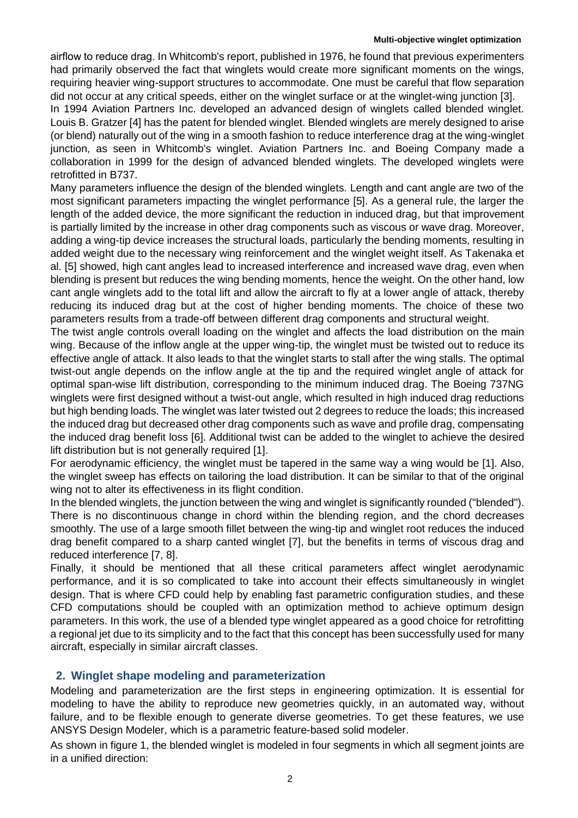airflow to reduce drag. In Whitcomb's report, published in 1976, he found that previous experimenters had primarily observed the fact that winglets would create more significant moments on the wings, requiring heavier wing-support structures to accommodate. One must be careful that flow separation did not occur at any critical speeds, either on the winglet surface or at the winglet-wing junction [3].

In 1994 Aviation Partners Inc. developed an advanced design of winglets called blended winglet. Louis B. Gratzer [4] has the patent for blended winglet. Blended winglets are merely designed to arise (or blend) naturally out of the wing in a smooth fashion to reduce interference drag at the wing-winglet junction, as seen in Whitcomb's winglet. Aviation Partners Inc. and Boeing Company made a collaboration in 1999 for the design of advanced blended winglets. The developed winglets were retrofitted in B737.

Many parameters influence the design of the blended winglets. Length and cant angle are two of the most significant parameters impacting the winglet performance [5]. As a general rule, the larger the length of the added device, the more significant the reduction in induced drag, but that improvement is partially limited by the increase in other drag components such as viscous or wave drag. Moreover, adding a wing-tip device increases the structural loads, particularly the bending moments, resulting in added weight due to the necessary wing reinforcement and the winglet weight itself. As Takenaka et al. [5] showed, high cant angles lead to increased interference and increased wave drag, even when blending is present but reduces the wing bending moments, hence the weight. On the other hand, low cant angle winglets add to the total lift and allow the aircraft to fly at a lower angle of attack, thereby reducing its induced drag but at the cost of higher bending moments. The choice of these two parameters results from a trade-off between different drag components and structural weight.

The twist angle controls overall loading on the winglet and affects the load distribution on the main wing. Because of the inflow angle at the upper wing-tip, the winglet must be twisted out to reduce its effective angle of attack. It also leads to that the winglet starts to stall after the wing stalls. The optimal twist-out angle depends on the inflow angle at the tip and the required winglet angle of attack for optimal span-wise lift distribution, corresponding to the minimum induced drag. The Boeing 737NG winglets were first designed without a twist-out angle, which resulted in high induced drag reductions but high bending loads. The winglet was later twisted out 2 degrees to reduce the loads; this increased the induced drag but decreased other drag components such as wave and profile drag, compensating the induced drag benefit loss [6]. Additional twist can be added to the winglet to achieve the desired lift distribution but is not generally required [1].

For aerodynamic efficiency, the winglet must be tapered in the same way a wing would be [1]. Also, the winglet sweep has effects on tailoring the load distribution. It can be similar to that of the original wing not to alter its effectiveness in its flight condition.

In the blended winglets, the junction between the wing and winglet is significantly rounded ("blended"). There is no discontinuous change in chord within the blending region, and the chord decreases smoothly. The use of a large smooth fillet between the wing-tip and winglet root reduces the induced drag benefit compared to a sharp canted winglet [7], but the benefits in terms of viscous drag and reduced interference [7, 8].

Finally, it should be mentioned that all these critical parameters affect winglet aerodynamic performance, and it is so complicated to take into account their effects simultaneously in winglet design. That is where CFD could help by enabling fast parametric configuration studies, and these CFD computations should be coupled with an optimization method to achieve optimum design parameters. In this work, the use of a blended type winglet appeared as a good choice for retrofitting a regional jet due to its simplicity and to the fact that this concept has been successfully used for many aircraft, especially in similar aircraft classes.

## **2. Winglet shape modeling and parameterization**

Modeling and parameterization are the first steps in engineering optimization. It is essential for modeling to have the ability to reproduce new geometries quickly, in an automated way, without failure, and to be flexible enough to generate diverse geometries. To get these features, we use ANSYS Design Modeler, which is a parametric feature-based solid modeler.

As shown in figure 1, the blended winglet is modeled in four segments in which all segment joints are in a unified direction: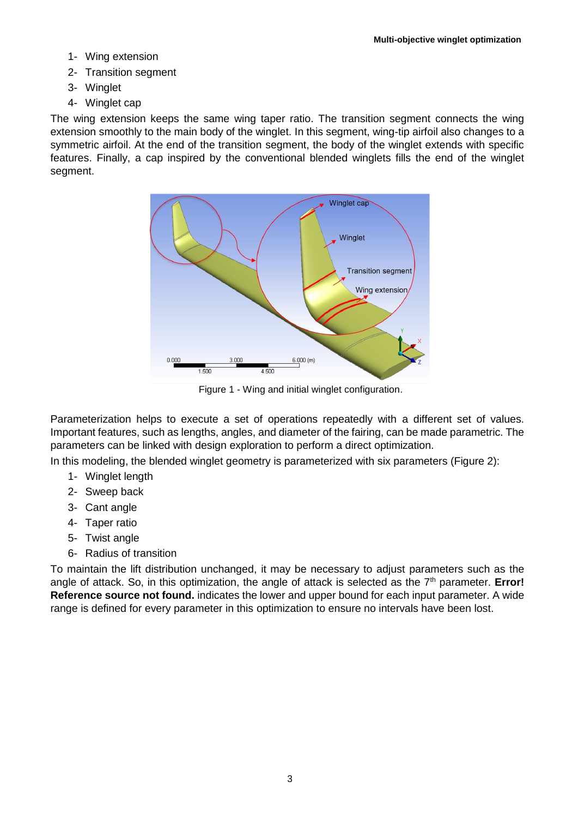- 1- Wing extension
- 2- Transition segment
- 3- Winglet
- 4- Winglet cap

The wing extension keeps the same wing taper ratio. The transition segment connects the wing extension smoothly to the main body of the winglet. In this segment, wing-tip airfoil also changes to a symmetric airfoil. At the end of the transition segment, the body of the winglet extends with specific features. Finally, a cap inspired by the conventional blended winglets fills the end of the winglet segment.



Figure 1 - Wing and initial winglet configuration.

Parameterization helps to execute a set of operations repeatedly with a different set of values. Important features, such as lengths, angles, and diameter of the fairing, can be made parametric. The parameters can be linked with design exploration to perform a direct optimization.

In this modeling, the blended winglet geometry is parameterized with six parameters (Figure 2):

- 1- Winglet length
- 2- Sweep back
- 3- Cant angle
- 4- Taper ratio
- 5- Twist angle
- 6- Radius of transition

To maintain the lift distribution unchanged, it may be necessary to adjust parameters such as the angle of attack. So, in this optimization, the angle of attack is selected as the 7<sup>th</sup> parameter. **Error! Reference source not found.** indicates the lower and upper bound for each input parameter. A wide range is defined for every parameter in this optimization to ensure no intervals have been lost.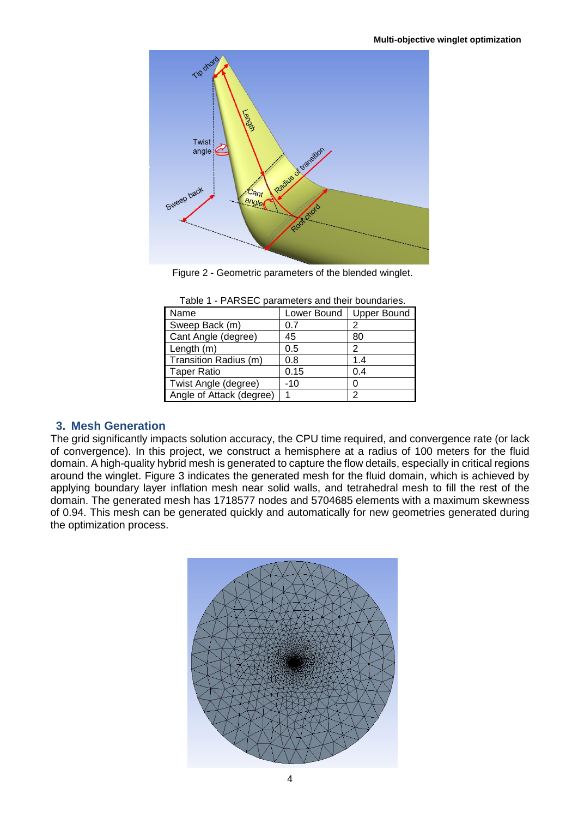

Figure 2 - Geometric parameters of the blended winglet.

| Name                     | Lower Bound | <b>Upper Bound</b> |
|--------------------------|-------------|--------------------|
| Sweep Back (m)           | 0.7         | 2                  |
| Cant Angle (degree)      | 45          | 80                 |
| Length (m)               | 0.5         | 2                  |
| Transition Radius (m)    | 0.8         | 1.4                |
| <b>Taper Ratio</b>       | 0.15        | 0.4                |
| Twist Angle (degree)     | $-10$       | O                  |
| Angle of Attack (degree) |             | っ                  |

### **3. Mesh Generation**

The grid significantly impacts solution accuracy, the CPU time required, and convergence rate (or lack of convergence). In this project, we construct a hemisphere at a radius of 100 meters for the fluid domain. A high-quality hybrid mesh is generated to capture the flow details, especially in critical regions around the winglet. Figure 3 indicates the generated mesh for the fluid domain, which is achieved by applying boundary layer inflation mesh near solid walls, and tetrahedral mesh to fill the rest of the domain. The generated mesh has 1718577 nodes and 5704685 elements with a maximum skewness of 0.94. This mesh can be generated quickly and automatically for new geometries generated during the optimization process.

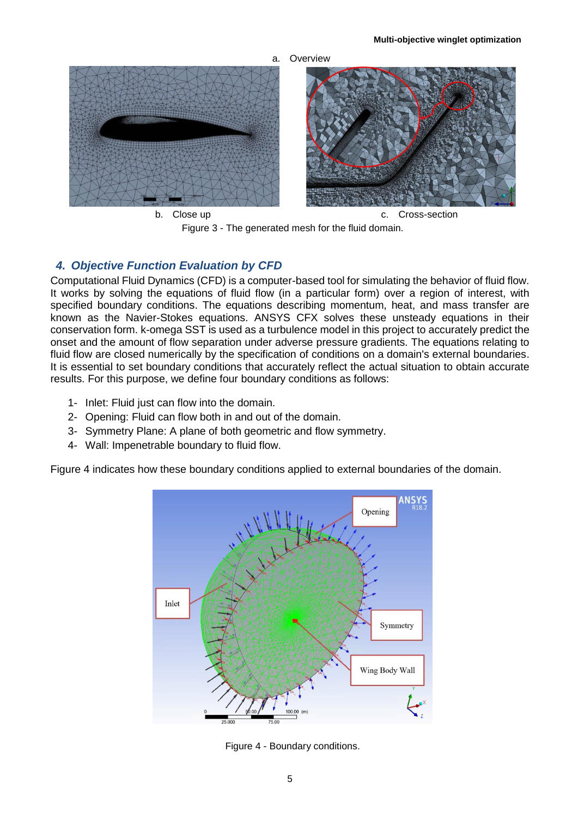

Figure 3 - The generated mesh for the fluid domain.

## *4. Objective Function Evaluation by CFD*

Computational Fluid Dynamics (CFD) is a computer-based tool for simulating the behavior of fluid flow. It works by solving the equations of fluid flow (in a particular form) over a region of interest, with specified boundary conditions. The equations describing momentum, heat, and mass transfer are known as the Navier-Stokes equations. ANSYS CFX solves these unsteady equations in their conservation form. k-omega SST is used as a turbulence model in this project to accurately predict the onset and the amount of flow separation under adverse pressure gradients. The equations relating to fluid flow are closed numerically by the specification of conditions on a domain's external boundaries. It is essential to set boundary conditions that accurately reflect the actual situation to obtain accurate results. For this purpose, we define four boundary conditions as follows:

- 1- Inlet: Fluid just can flow into the domain.
- 2- Opening: Fluid can flow both in and out of the domain.
- 3- Symmetry Plane: A plane of both geometric and flow symmetry.
- 4- Wall: Impenetrable boundary to fluid flow.

Figure 4 indicates how these boundary conditions applied to external boundaries of the domain.



Figure 4 - Boundary conditions.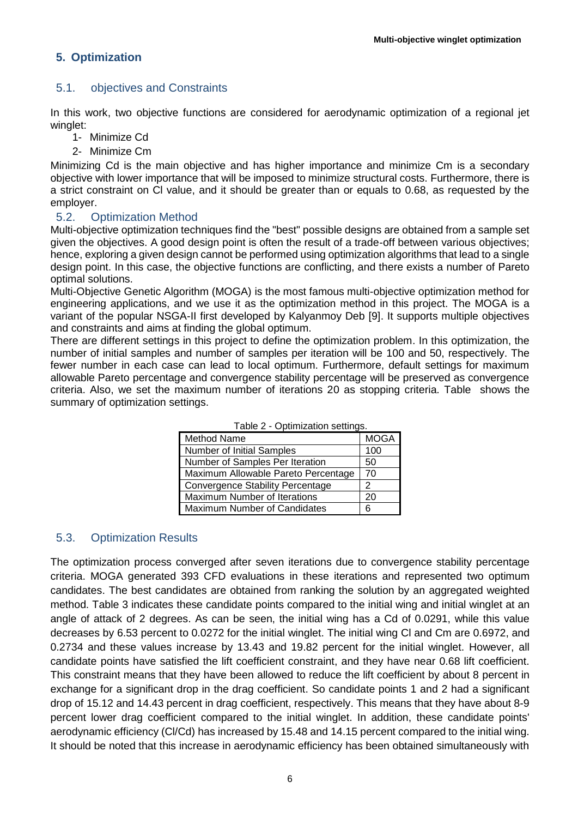## **5. Optimization**

## 5.1. objectives and Constraints

In this work, two objective functions are considered for aerodynamic optimization of a regional jet winglet:

- 1- Minimize Cd
- 2- Minimize Cm

Minimizing Cd is the main objective and has higher importance and minimize Cm is a secondary objective with lower importance that will be imposed to minimize structural costs. Furthermore, there is a strict constraint on Cl value, and it should be greater than or equals to 0.68, as requested by the employer.

#### 5.2. Optimization Method

Multi-objective optimization techniques find the "best" possible designs are obtained from a sample set given the objectives. A good design point is often the result of a trade-off between various objectives; hence, exploring a given design cannot be performed using optimization algorithms that lead to a single design point. In this case, the objective functions are conflicting, and there exists a number of Pareto optimal solutions.

Multi-Objective Genetic Algorithm (MOGA) is the most famous multi-objective optimization method for engineering applications, and we use it as the optimization method in this project. The MOGA is a variant of the popular NSGA-II first developed by Kalyanmoy Deb [9]. It supports multiple objectives and constraints and aims at finding the global optimum.

<span id="page-5-0"></span>There are different settings in this project to define the optimization problem. In this optimization, the number of initial samples and number of samples per iteration will be 100 and 50, respectively. The fewer number in each case can lead to local optimum. Furthermore, default settings for maximum allowable Pareto percentage and convergence stability percentage will be preserved as convergence criteria. Also, we set the maximum number of iterations 20 as stopping criteria. [Table](#page-5-0) shows the summary of optimization settings.

| Method Name                             | <b>MOGA</b> |  |  |  |
|-----------------------------------------|-------------|--|--|--|
| <b>Number of Initial Samples</b>        | 100         |  |  |  |
| Number of Samples Per Iteration         | 50          |  |  |  |
| Maximum Allowable Pareto Percentage     | 70          |  |  |  |
| <b>Convergence Stability Percentage</b> | 2           |  |  |  |
| Maximum Number of Iterations            | 20          |  |  |  |
| Maximum Number of Candidates            | ิค          |  |  |  |

Table 2 - Optimization settings.

## 5.3. Optimization Results

The optimization process converged after seven iterations due to convergence stability percentage criteria. MOGA generated 393 CFD evaluations in these iterations and represented two optimum candidates. The best candidates are obtained from ranking the solution by an aggregated weighted method. Table 3 indicates these candidate points compared to the initial wing and initial winglet at an angle of attack of 2 degrees. As can be seen, the initial wing has a Cd of 0.0291, while this value decreases by 6.53 percent to 0.0272 for the initial winglet. The initial wing Cl and Cm are 0.6972, and 0.2734 and these values increase by 13.43 and 19.82 percent for the initial winglet. However, all candidate points have satisfied the lift coefficient constraint, and they have near 0.68 lift coefficient. This constraint means that they have been allowed to reduce the lift coefficient by about 8 percent in exchange for a significant drop in the drag coefficient. So candidate points 1 and 2 had a significant drop of 15.12 and 14.43 percent in drag coefficient, respectively. This means that they have about 8-9 percent lower drag coefficient compared to the initial winglet. In addition, these candidate points' aerodynamic efficiency (Cl/Cd) has increased by 15.48 and 14.15 percent compared to the initial wing. It should be noted that this increase in aerodynamic efficiency has been obtained simultaneously with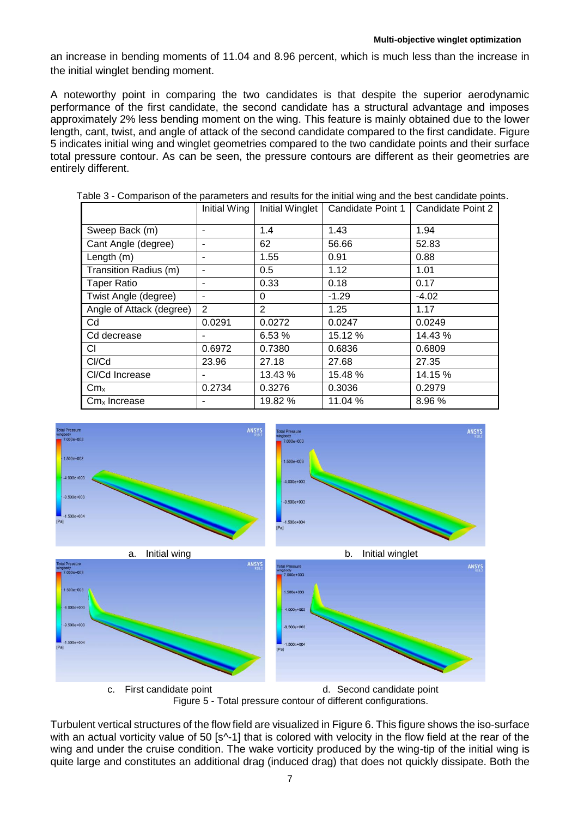an increase in bending moments of 11.04 and 8.96 percent, which is much less than the increase in the initial winglet bending moment.

A noteworthy point in comparing the two candidates is that despite the superior aerodynamic performance of the first candidate, the second candidate has a structural advantage and imposes approximately 2% less bending moment on the wing. This feature is mainly obtained due to the lower length, cant, twist, and angle of attack of the second candidate compared to the first candidate. Figure 5 indicates initial wing and winglet geometries compared to the two candidate points and their surface total pressure contour. As can be seen, the pressure contours are different as their geometries are entirely different.

|                                      | Initial Wing | Initial Winglet | Candidate Point 1 | Candidate Point 2 |
|--------------------------------------|--------------|-----------------|-------------------|-------------------|
| Sweep Back (m)                       |              | 1.4             | 1.43              | 1.94              |
| Cant Angle (degree)                  |              | 62              | 56.66             | 52.83             |
| Length $(m)$                         |              | 1.55            | 0.91              | 0.88              |
| Transition Radius (m)                |              | 0.5             | 1.12              | 1.01              |
| <b>Taper Ratio</b>                   |              | 0.33            | 0.18              | 0.17              |
| Twist Angle (degree)                 |              | $\Omega$        | $-1.29$           | $-4.02$           |
| Angle of Attack (degree)             | 2            | 2               | 1.25              | 1.17              |
| Cd                                   | 0.0291       | 0.0272          | 0.0247            | 0.0249            |
| Cd decrease                          |              | 6.53%           | 15.12 %           | 14.43 %           |
| CI.                                  | 0.6972       | 0.7380          | 0.6836            | 0.6809            |
| CI/Cd                                | 23.96        | 27.18           | 27.68             | 27.35             |
| Cl/Cd Increase                       |              | 13.43 %         | 15.48 %           | 14.15 %           |
| Cm <sub>x</sub>                      | 0.2734       | 0.3276          | 0.3036            | 0.2979            |
| $\mathsf{Cm}\times\mathsf{Increase}$ |              | 19.82 %         | 11.04 %           | 8.96%             |

Table 3 - Comparison of the parameters and results for the initial wing and the best candidate points.





Turbulent vertical structures of the flow field are visualized in Figure 6. This figure shows the iso-surface with an actual vorticity value of 50 [s^-1] that is colored with velocity in the flow field at the rear of the wing and under the cruise condition. The wake vorticity produced by the wing-tip of the initial wing is quite large and constitutes an additional drag (induced drag) that does not quickly dissipate. Both the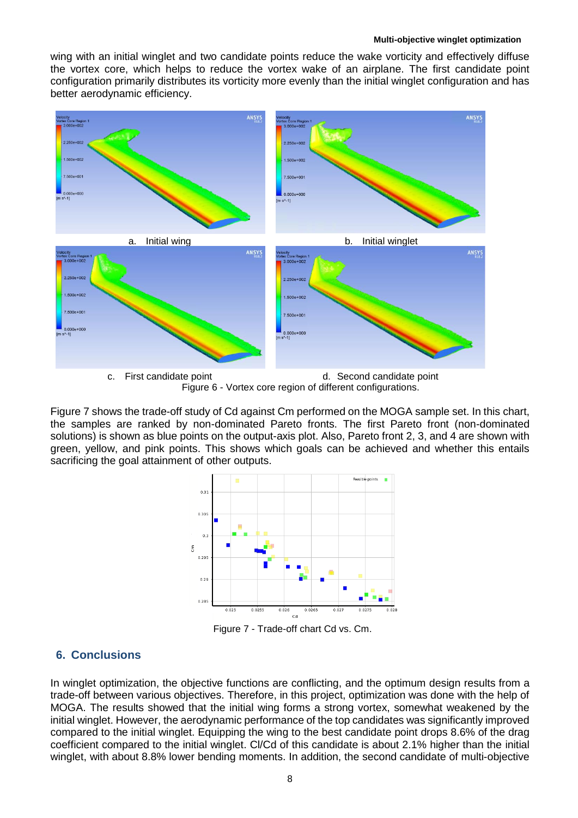wing with an initial winglet and two candidate points reduce the wake vorticity and effectively diffuse the vortex core, which helps to reduce the vortex wake of an airplane. The first candidate point configuration primarily distributes its vorticity more evenly than the initial winglet configuration and has better aerodynamic efficiency.



Figure 7 shows the trade-off study of Cd against Cm performed on the MOGA sample set. In this chart, the samples are ranked by non-dominated Pareto fronts. The first Pareto front (non-dominated solutions) is shown as blue points on the output-axis plot. Also, Pareto front 2, 3, and 4 are shown with green, yellow, and pink points. This shows which goals can be achieved and whether this entails sacrificing the goal attainment of other outputs.



Figure 7 - Trade-off chart Cd vs. Cm.

## **6. Conclusions**

In winglet optimization, the objective functions are conflicting, and the optimum design results from a trade-off between various objectives. Therefore, in this project, optimization was done with the help of MOGA. The results showed that the initial wing forms a strong vortex, somewhat weakened by the initial winglet. However, the aerodynamic performance of the top candidates was significantly improved compared to the initial winglet. Equipping the wing to the best candidate point drops 8.6% of the drag coefficient compared to the initial winglet. Cl/Cd of this candidate is about 2.1% higher than the initial winglet, with about 8.8% lower bending moments. In addition, the second candidate of multi-objective